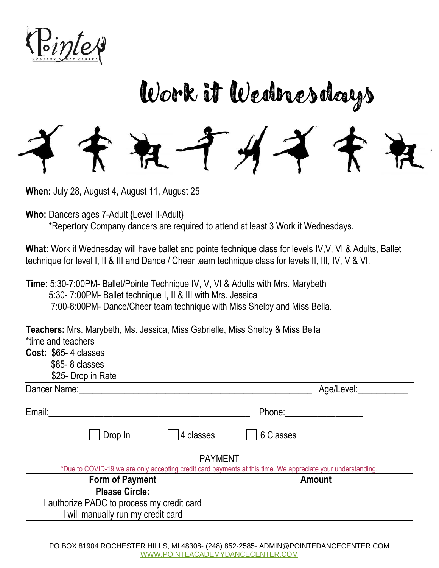

## Work it Wednesdays

**When:** July 28, August 4, August 11, August 25

**Who:** Dancers ages 7-Adult {Level II-Adult} \*Repertory Company dancers are required to attend at least 3 Work it Wednesdays.

What: Work it Wednesday will have ballet and pointe technique class for levels IV, V, VI & Adults, Ballet technique for level I, II & III and Dance / Cheer team technique class for levels II, III, IV, V & VI.

**Time:** 5:30-7:00PM- Ballet/Pointe Technique IV, V, VI & Adults with Mrs. Marybeth 5:30- 7:00PM- Ballet technique I, II & III with Mrs. Jessica 7:00-8:00PM- Dance/Cheer team technique with Miss Shelby and Miss Bella.

**Teachers:** Mrs. Marybeth, Ms. Jessica, Miss Gabrielle, Miss Shelby & Miss Bella \*time and teachers

**Cost:** \$65- 4 classes

- \$85- 8 classes
	- \$25- Drop in Rate

| Dancer Name:                                                                                                                  |                       |            | Age/Level:           |  |  |
|-------------------------------------------------------------------------------------------------------------------------------|-----------------------|------------|----------------------|--|--|
| Email:                                                                                                                        |                       |            | Phone: $\frac{1}{2}$ |  |  |
|                                                                                                                               | Drop In               | 14 classes | 6 Classes            |  |  |
| <b>PAYMENT</b><br>*Due to COVID-19 we are only accepting credit card payments at this time. We appreciate your understanding. |                       |            |                      |  |  |
| <b>Form of Payment</b>                                                                                                        |                       |            | <b>Amount</b>        |  |  |
|                                                                                                                               | <b>Please Circle:</b> |            |                      |  |  |
| I authorize PADC to process my credit card                                                                                    |                       |            |                      |  |  |
| will manually run my credit card                                                                                              |                       |            |                      |  |  |

PO BOX 81904 ROCHESTER HILLS, MI 48308- (248) 852-2585- ADMIN@POINTEDANCECENTER.COM [WWW.POINTEACADEMYDANCECENTER.COM](http://www.pointeacademydancecenter.com/)